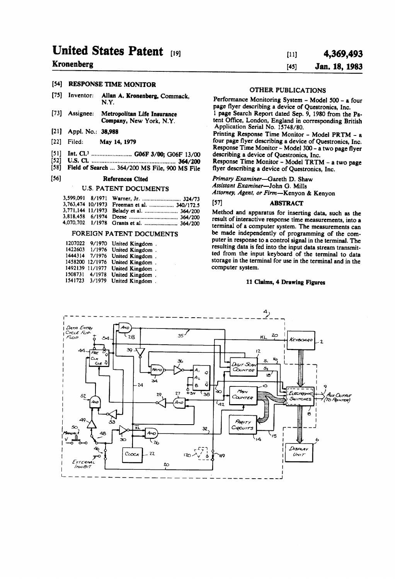## United States Patent (19)

#### Kronenberg

#### (54) RESPONSE TIME MONITOR

- (75) Inventor: Allan A. Kronenberg, Commack, N.Y.
- 73) Assignee: Metropolitan Life Insurance Company, New York, N.Y.
- (21) Appl. No.: 38,988
- (22) Filed: May 14, 1979
- (51) Int. Cl. ......................... G06F 3/00; G06F 13/00
- (52) U.S. C. ................................................. 364/200
- (58) Field of Search ... 364/200 MS File, 900 MS File

#### (56) References Cited

#### U.S. PATENT DOCUMENTS

|  | 3,599,091 8/1971 Warner, Jr.  324/73        |  |
|--|---------------------------------------------|--|
|  | 3,763,474 10/1973 Freeman et al.  340/172.5 |  |
|  | 3,771,144 11/1973 Belady et al.  364/200    |  |
|  |                                             |  |
|  | 4,070,702 1/1978 Grants et al.  364/200     |  |

#### FOREIGN PATENT DOCUMENTS

| 1207022 | 9/1970          | United Kingdom. |  |
|---------|-----------------|-----------------|--|
| 1422603 | 1/1976          | United Kingdom. |  |
| 1444314 | 7/1976          | United Kingdom. |  |
|         | 1458200 12/1976 | United Kingdom. |  |
|         | 1492139 11/1977 | United Kingdom. |  |
| 1508731 | 4/1978          | United Kingdom. |  |
| 1541723 | 3/1979          | United Kingdom. |  |
|         |                 |                 |  |

#### 4,369,493 Jan. 18, 1983 (11) (45)

### OTHER PUBLICATIONS

Performance Monitoring System - Model 500 - a four page flyer describing a device of Questronics, Inc. 1 page Search Report dated Sep. 9, 1980 from the Pa

tent Office, London, England in corresponding British Application Serial No. 15748/80. Printing Response Time Monitor - Model PRTM - a four page flyer describing a device of Questronics, Inc,

describing a device of Questronics, Inc.<br>Response Time Monitor - Model TRTM - a two page flyer describing a device of Questronics, Inc.

Primary Examiner-Gareth D. Shaw Assistant Examiner-John G. Mills

Attorney, Agent, or Firm-Kenyon & Kenyon

#### (57) ABSTRACT

Method and apparatus for inserting data, such as the result of interactive response time measurements, into a terminal of a computer system. The measurements can be made independently of programming of the con puter in response to a control signal in the terminal. The resulting data is fed into the input data stream transmit ted from the input keyboard of the terminal to data storage in the terminal for use in the terminal and in the computer system.

#### 11 Claims, 4 Drawing Figures

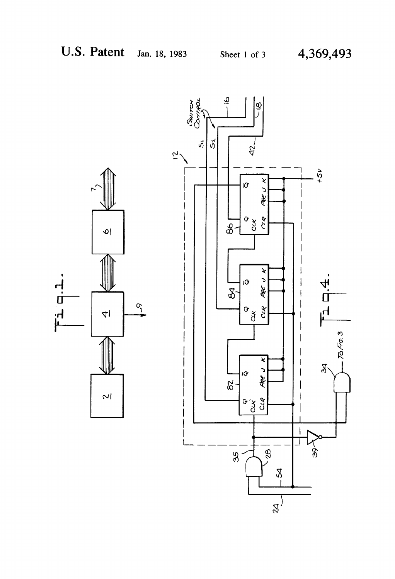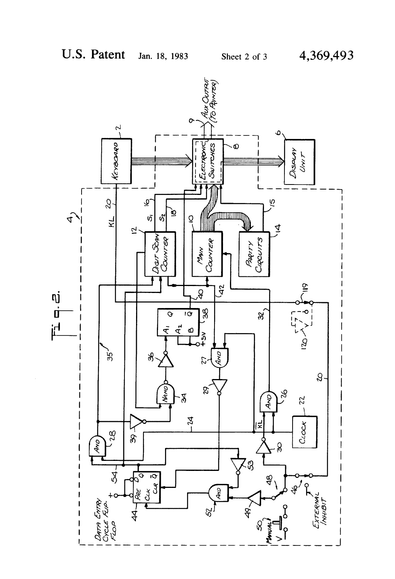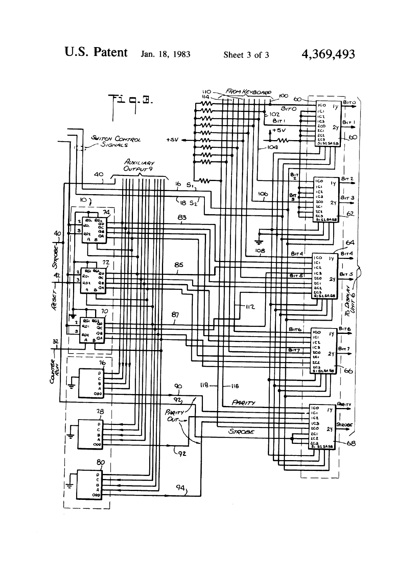40

 $\overline{10}$ 

 $\overline{R}$  $\overline{\mathbf{r}}$ 

ŘО,

goz





4,369,493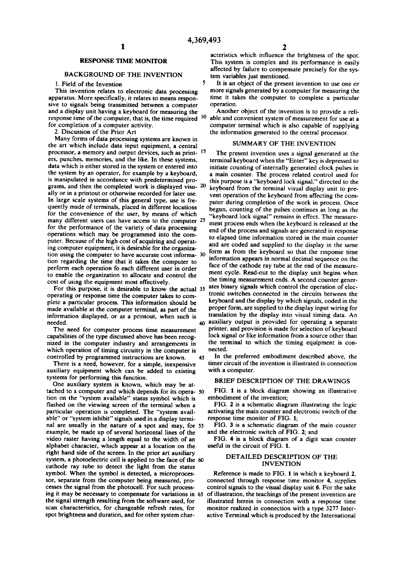×,

45

#### RESPONSE TIME MONITOR

#### BACKGROUND OF THE INVENTION

1. Field of the Invention<br>This invention relates to electronic data processing apparatus. More specifically, it relates to means responsive to signals being transmitted between a computer and a display unit having a keyboard for measuring the response time of the computer, that is, the time required <sup>10</sup> for completion of a computer activity.

2. Discussion of the Prior Art

Many forms of data processing systems are known in the art which include data input equipment, a central processor, a memory and output devices, such as print-15 ers, punches, memories, and the like. In these systems, data which is either stored in the system or entered into<br>the system by an operator, for example by a keyboard, is manipulated in accordance with predetermined programs, and then the completed work is displayed visu-  $20$ ally or in a printout or otherwise recorded for later use. In large scale systems of this general type, use is fre quently made of terminals, placed in different locations for the convenience of the user, by means of which for the performance of the variety of data processing operations which may be programmed into the computer. Because of the high cost of acquiring and operating computer equipment, it is desirable for the organization regarding the time that it takes the computer to perform each operation fo each different user in order to enable the organization to allocate and control the cost of using the equipment most effectively. many different users can have access to the computer 25 tion using the computer to have accurate cost informa- 30

operating or response time the computer takes to complete a particular process. This information should be made available at the computer terminal, as part of the information displayed, or as a printout, when such is needed. For this purpose, it is desirable to know the actual 35

The need for computer process time measurement capabilities of the type discussed above has been recognized in the computer industry and arrangements in which operation of timing circuitry in the computer is

controlled by programmed instructions are known.<br>There is a need, however, for a simple, inexpensive auxiliary equipment which can be added to existing systems for performing this function.

One auxiliary system is known, which may be attached to a computer and which depends for its opera-50 tion on the "system available" status symbol which is flashed on the viewing screen of the terminal when a particular operation is completed. The "system available" or "system inhibit" signals used in a display terminal are usually in the nature of a spot and may, for 55 example, be made up of several horizontal lines of the video raster having a length equal to the width of an alphabet character, which appear at a location on the right hand side of the screen. In the prior art auxiliary system, a photoelectric cell is applied to the face of the 60 cathode ray tube to detect the light from the status symbol. When the symbol is detected, a microproces sor, separate from the computer being measured, processes the signal from the photocell. For such processcesses the signal from the photocell. For such process ing it may be necessary to compensate for variations in 65 the signal strength resulting from the software used, for scan characteristics, for changeable refresh rates, for spot brightness and duration, and for other system char

4,369,493<br>acteristics which influence the brightness of the spot. This system is complex and its performance is easily affected by failure to compensate precisely for the sys tem variables just mentioned.

It is an object of the present invention to use one or more signals generated by a computer for measuring the time it takes the computer to complete a particular operation.

Another object of the invention is to provide a reli able and convenient system of measurement for use at a computer terminal which is also capable of supplying the information generated to the central processor.

#### SUMMARY OF THE INVENTION

The present invention uses a signal generated at the terminal keyboard when the "Enter" key is depressed to initiate counting of internally generated clock pulses in a main counter. The process related control used for this purpose is a "keyboard lock signal,' directed to the keyboard from the terminal visual display unit to pre vent operation of the keyboard from affecting the com puter during completion of the work in process. Once begun, counting of the pulses continues as long as the "keyboard lock signal' remains in effect. The measure ment process ends when the keyboard is released at the end of the process and signals are generated in response to elapsed time information stored in the main counter and are coded and supplied to the display in the same form as from the keyboard so that the response time information appears in normal decimal sequence on the face of the cathode ray tube at the end of the measure ment cycle. Read-out to the display unit begins when the timing measurement ends. A second counter gener ates binary signals which control the operation of elec tronic switches connected in the circuits between the keyboard and the display by which signals, coded in the proper form, are supplied to the display input wiring for translation by the display into visual timing data. An auxiliary output is provided for operating a separate printer, and provision is made for selection of keyboard lock signal or like information from a source other than the terminal to which the timing equipment is con nected.

In the preferred embodiment described above, the timer circuit of the invention is illustrated in connection with a computer.

#### BRIEF DESCRIPTION OF THE DRAWINGS

FIG. 1 is a block diagram showing an illustrative embodiment of the invention;

FIG. 2 is a schematic diagram illustrating the logic activating the main counter and electronic switch of the response time monitor of FIG. 1;

FIG. 3 is a schematic diagram of the main counter and the electronic switch of FIG. 2; and

FIG. 4 is a block diagram of a digit scan counter useful in the circuit of FIG. 1.

#### OETALED DESCRIPTION OF THE INVENTION

Reference is made to FIG. 1 in which a keyboard 2, connected through response time monitor 4, supplies control signals to the visual display unit 6. For the sake of illustration, the teachings of the present invention are illustrated herein in connection with a response time monitor realized in connection with a type 3277 Inter active Terminal which is produced by the International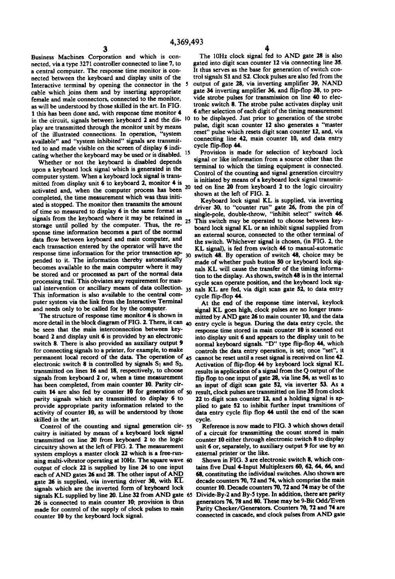Business Machines Corporation and which is con nected, via a type 3271 controller connected to line 7, to a central computer. The response time monitor is con nected between the keyboard and display units of the Interactive terminal by opening the connector in the 5 cable which joins them and by inserting appropriate female and male connectors, connected to the monitor, as will be understood by those skilled in the art. In FIG. 1 this has been done and, with response time monitor 4 in the circuit, signals between keyboard 2 and the dis- 10 to be displayed. Just prior to generation of the strobe play are transmitted through the monitor unit by means of the illustrated connections. In operation, "system available" and "system inhibited" signals are transmitted to and made visible on the screen of display 6 indi cating whether the keyboard may be used or is disabled. <sup>15</sup>

Whether or not the keyboard is disabled depends upon a keyboard lock signal which is generated in the computer system. When a keyboard lock signal is transmitted from display unit 6 to keyboard 2, monitor 4 is mitted from display unit  $\mathfrak o$  to keyboard 2, monitor  $\mathfrak s$  is activated and, when the computer process has been <sup>20</sup> completed, the time measurement which was thus initi ated is stopped. The monitor then transmits the amount of time so measured to display 6 in the same format as signals from the keyboard where it may be retained in 25 storage until polled by the computer. Thus, the re sponse time information becomes a part of the normal data flow between keyboard and main computer, and each transaction entered by the operator will have the response time information for the prior transaction ap-<br>pended to it. The information thereby automatically becomes available to the main computer where it may be stored and or processed as part of the normal data processing trail. This obviates any requirement for man ual intervention or ancillary means of data collection. 35 This information is also available to the central com puter system via the link from the Interactive Terminal<br>and needs only to be called for by the computer.

The structure of response time monitor 4 is shown in more detail in the block diagram of FIG. 2. There, it can  $_{40}$  be seen that the main interconnection between keyboard 2 and display unit 6 is provided by an electronic switch 8. There is also provided an auxiliary output 9 for connecting signals to a printer, for example, to make permanent local record of the data. The operation of  $_{45}$  electronic switch 8 is controlled by signals  $S_1$  and  $S_2$ , transmitted on lines 16 and 18, respectively, to choose signals from keyboard 2 or, when a time measurement has been completed, from main counter 10. Parity cir cuits 14 are also fed by counter 10 for generation of  $50$  result, clock pulses are transmitted on line 35 from clock parity signals which are transmitted to display  $6$  to 22 to digit scan counter 12, and a holding signa parity signals which are transmitted to display 6 to provide appropriate parity information related to the activity of counter 10, as will be understood by those skilled in the art,

Control of the counting and signal generation Cir- 55 cuitry is initiated by means of a keyboard lock signal transmitted on line 20 from keyboard 2 to the logic circuitry shown at the left of FIG. 2. The measurement system employs a master clock 22 which is a free-run ning multi-vibrator operating at  $10Hz$ . The square wave 60 output of clock 22 is supplied by line 24 to one input each of AND gates 26 and 28. The other input of AND gate 26 is supplied, via inverting driver 30, with  $\overline{KL}$ signals which are the inverted form of keyboard lock signals KL supplied by line 20. Line 32 from AND gate 65<br>26 is connected to main counter 10; provision is thus made for control of the supply of clock pulses to main counter 10 by the keyboard lock signal.

The 10Hz clock signal fed to AND gate 28 is also gated into digit scan counter 12 via connecting line 35. It thus serves as the base for generation of switch con trol signals S1 and S2. Clock pulses are also fed from the output of gate 28, via inverting amplifier 39, NAND vide strobe pulses for transmission on line 40 to electronic switch 8. The strobe pulse activates display unit 6 after selection of each digit of the timing measurement pulse, digit scan counter 12 also generates a "master reset' pulse which resets digit scan counter 12, and, via connecting line 42, main counter 10, and data entry cycle flip-flop 44.

Provision is made for selection of keyboard lock signal or like information from a source other than the terminal to which the timing equipment is connected.<br>Control of the counting and signal generation circuitry is initiated by means of a keyboard lock signal transmitted on line 20 from keyboard 2 to the logic circuitry shown at the left of FIG. 2.<br>Keyboard lock signal KL is supplied, via inverting

driver 30, to "counter run" gate 26, from the pin of single-pole, double-throw, "inhibit select" switch 46. This switch may be operated to choose between key-board lock signal KL or an inhibit signal supplied from an external source, connected to the other terminal of the switch. Whichever signal is chosen, (in FIG. 2, the KL signal), is fed from switch 46 to manual-automatic switch 48. By operation of switch 48, choice may be made of whether push button 50 or keyboard lock signals KL will cause the transfer of the timing information to the display. As shown, switch 48 is in the internal cycle scan operate position, and the keyboard lock sig nals KL are fed, via digit scan gate 52, to data entry cycle flip-flop 44.<br>At the end of the response time interval, keylock

signal KL goes high, clock pulses are no longer transmitted by AND gate 26 to main counter 10, and the data entry cycle is begun. During the data entry cycle, the response time stored in main counter 10 is scanned out into display unit 6 and appears to the display unit to be normal keyboard signals. "D" type flip-flop 44, which controls the data entry operation, is set; once "set", it cannot be reset until a reset signal is received on line 42. Activation of flip-flop 44 by keyboard lock signal KL results in application of a signal from the Q output of the flip flop to one input of gate 28, via line 54, as well as to an input of digit scan gate 52, via inverter 53. As a result, clock pulses are transmitted on line 35 from clock plied to gate 52 to inhibit further input transitions of data entry cycle flip flop 44 until the end of the scan cycle.

Reference is now made to FIG. 3 which shows detail of a circuit for transmitting the count stored in main counter 10 either through electronic switch 8 to display unit 6 or, separately, to auxiliary output 9 for use by an external printer or the like.

Shown in FIG. 3 are electronic switch 8, which con tains five Dual 4-Input Multiplexers 60, 62, 64, 66, and 68, constituting the individual switches. Also shown are decade counters 70, 72 and 74, which comprise the main counter 10. Decade counters 70, 72 and 74 may be of the Divide-By-2 and By-5 type. In addition, there are parity generators 76, 78 and 80. These may be 9-Bit Odd/Even Parity Checker/Generators. Counters 70, 72 and 74 are connected in cascade, and clock pulses from AND gate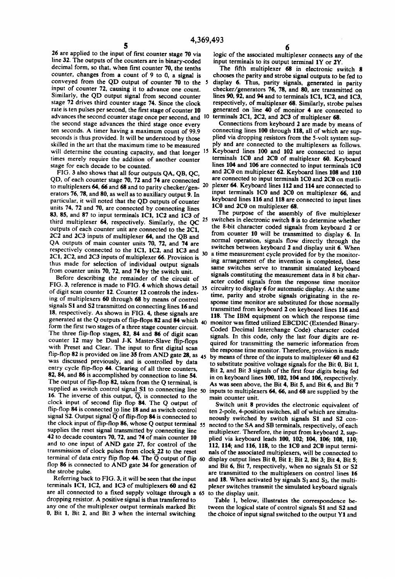26 are applied to the input of first counter stage 70 via<br>line 32. The outputs of the counters are in binary-coded decimal form, so that, when first counter 70, the tenths counter, changes from a count of 9 to 0, a signal is conveyed from the QD output of counter 70 to the 5 input of counter 72, causing it to advance one count. Similarly, the QD output signal from second counter stage 72 drives third counter stage 74. Since the clock rate is ten pulses per second, the first stage of counter 10 advances the second counter stage once per second, and <sup>10</sup> the second stage advances the third stage once every ten seconds. A timer having a maximum count of 99.9 seconds is thus provided. It will be understood by those skilled in the art that the maximum time to be measured times merely require the addition of another counter stage for each decade to be counted.

FIG. 3 also shows that all four outputs QA, QB, QC, QD, of each counter stage 70, 72 and 74 are connected to multiplexers 64, 66 and 68 and to parity checker/gen erators 76, 78, and 80, as well as to auxiliary output 9. In particular, it will noted that the QD outputs of counter units 74, 72 and 70, are connected by connecting lines 83, 85, and 87 to input terminals 1C1, 1C2 and 1C3 of third multiplexer 64, respectively. Similarly, the QC outputs of each counter unit are connected to the 2C1, 2C2 and 2C3 inputs of multiplexer 64, and the QB and QA outputs of main counter units 70, 72, and 74 are respectively connected to the 1C1, 1C2, and 1C3 and 2C1, 2C2, and 2C3 inputs of multiplexer 66. Provision is thus made for selection of individual output signals from counter units 70, 72, and 74 by the switch unit.

Before describing the remainder of the circuit of FIG. 3, reference is made to FIG. 4 which shows detail  $35<sup>5</sup>$ of digit scan counter 12. Counter 12 controls the index ing of multiplexers 60 through 68 by means of control signals S1 and S2 transmitted on connecting lines 16 and 18, respectively. As shown in FIG. 4, these signals are generated at the Q outputs of flip-flops 82 and 84 which form the first two stages of a three stage counter circuit. The three flip-flop stages, 82, 84 and 86 of digit scan counter 12 may be Dual J-K Master-Slave flip-flops with Preset and Clear. The input to first digital scan flip-flop 82 is provided on line 35 from AND gate 28, as 45 was discussed previously, and is controlled by data entry cycle flip-flop 44. Clearing of all three counters, 82, 84, and 86 is accomplished by connection to line 54. The output of flip-flop 82, taken from the Q terminal, is supplied as switch control signal S1 to connecting line  $s_0$ 16. The inverse of this output,  $\overline{O}$ , is connected to the clock input of second flip flop 84. The Q output of flip-flop 84 is connected to line 18 and as switch control signal S2. Output signal  $\overline{Q}$  of flip-flop 84 is connected to the clock input of flip-flop 86, whose Q output terminal 55 supplies the reset signal transmitted by connecting line 42 to decade counters 70, 72, and 74 of main counter 10 and to one input of AND gate 27, for control of the transmission of clock pulses from clock 22 to the reset transmission of clock pulses from clock 22 to the reset terminal of data entry flip flop 44. The  $\overline{Q}$  output of flip flop 86 is connected to AND gate 34 for generation of 60

the strobe pulse. Referring back to FIG. 3, it will be seen that the input terminals 1C1, 1C2, and 1C3 of multiplexers 60 and 62 are all connected to a fixed supply voltage through a 65 dropping resistor. A positive signal is thus transferred to any one of the multiplexer output terminals marked Bit 0, Bit 1, Bit 2, and Bit 3 when the internal switching

logic of the associated multiplexer connects any of the input terminals to its output terminal 1Y or 2Y.

The fifth multiplexer 68 in electronic switch 8 chooses the parity and strobe signal outputs to be fed to display 6. Thus, parity signals, generated in parity checker/generators 76, 78, and 80, are transmitted on lines 90, 92, and 94 and to terminals 1C1, 1C2, and 1C3, respectively, of multiplexer 68. Similarly, strobe pulses generated on line 40 of monitor 4 are connected to terminals 2C1, 2C2, and 2C3 of multiplexer 68.

will determine the counting capacity, and that longer <sup>15</sup> Keyboard lines 100 and 102 are connected to input 20 Connections from keyboard 2 are made by means of connecting lines 100 through 118, all of which are supplied via dropping resistors from the 5-volt system sup-<br>ply and are connected to the multiplexers as follows, terminals 1C0 and 2C0 of multiplexer 60. Keyboard lines 104 and 106 are connected to input terminals 1C0 and 2C0 on multiplexer 62. Keyboard lines 108 and 110 are connected to input terminals 1C0 and 2C0 on mutliplexer 64. Keyboard lines 112 and 114 are connected to input terminals 1C0 and 2C0 on multiplexer 66, and keyboard lines 116 and 118 are connected to input lines 1C0 and 2C0 on multiplexer 68.<br>The purpose of the assembly of five multiplexer

25 The purpose of the assembly of five multiplexer switches in electronic switch 8 is to determine whether 30 the 8-bit character coded signals from keyboard 2 or from counter 10 will be transmitted to display 6. In normal operation, signals flow directly through the switches between keyboard 2 and display unit 6. When a time measurement cycle provided for by the monitor ing arrangement of the invention is completed, these same switches serve to transmit simulated keyboard signals constituting the measurement data in 8 bit character coded signals from the response time monitor circuitry to display 6 for automatic display. At the same time, parity and strobe signals originating in the response time monitor are substituted for those normally transmitted from keyboard 2 on keyboard lines 116 and 118. The IBM equipment on which the response time<br>monitor was fitted utilized EBCDIC (Extended Binary-Coded Decimal Interchange Code) character coded signals. In this code, only the last four digits are re quired for transmitting the numeric information from the response time monitor. Therefore, provision is made by means of three of the inputs to multiplexer 60 and 62 to substitute positive voltage signals for the Bit 0, Bit 1, Bit 2, and Bit 3 signals of the first four digits being fed in on keyboard lines 100, 102, 104 and 106, respectively. As was seen above, the Bit 4, Bit 5, and Bit 6, and Bit 7 inputs to multiplexers 64, 66, and 68 are supplied by the main counter unit.

Switch unit 8 provides the electronic equivalent of ten 2-pole, 4-position switches, all of which are simulta neously switched by switch signals S1 and S2 con nected to the SA and SB terminals, respectively, of each multiplexer. Therefore, the input from keyboard 2, supplied via keyboard leads 100, 102; 104, 106; 108, 110; 112, 114; and 116, 118, to the 1C0 and 2C0 input termi nals of the associated multiplexers, will be connected to display output lines Bit 0, Bit 1; Bit 2, Bit 3; Bit 4, Bit 5; and Bit 6, Bit 7, respectively, when no signals S1 or S2 are transmitted to the multiplexers on control lines 16 and 18. When activated by signals  $S_1$  and  $S_2$ , the multiplexer switches transmit the simulated keyboard signals to the display unit.

Table 1, below, illustrates the correspondence be tween the logical state of control signals S1 and S2 and the choice of input signal switched to the output Y1 and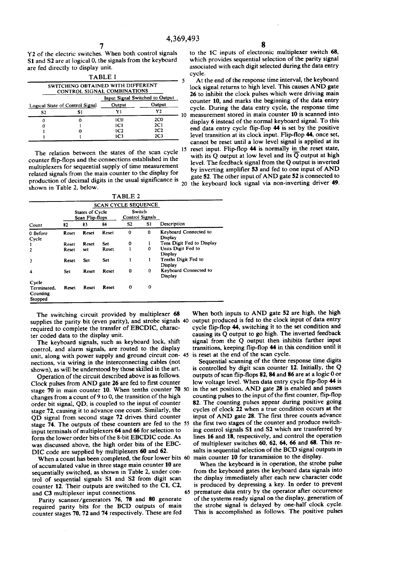Y2 of the electric switches. When both control signals S1 and S2 are at logical 0, the signals from the keyboard are fed directly to display unit.

|    |                                 |        | <b>TABLE I</b>                                                   |    |  |  |  |
|----|---------------------------------|--------|------------------------------------------------------------------|----|--|--|--|
|    |                                 |        | SWITCHING OBTAINED WITH DIFFERENT<br>CONTROL SIGNAL COMBINATIONS |    |  |  |  |
|    | Input Signal Switched to Output |        |                                                                  |    |  |  |  |
|    | Output                          | Output | Logical State of Control Signal                                  |    |  |  |  |
| 10 | Y2                              | ٧l     | Si                                                               | S2 |  |  |  |
|    | 2 <sub>CO</sub>                 | 1C0    |                                                                  |    |  |  |  |
|    | 2C1                             | 1C1    |                                                                  |    |  |  |  |
|    | 2C <sub>2</sub>                 | 1C2    |                                                                  |    |  |  |  |
|    | 2C <sub>3</sub>                 | 1C3    |                                                                  |    |  |  |  |

The relation between the states of the scan cycle <sup>15</sup> counter flip-flops and the connections established in the multiplexers for sequential supply of time measurement related signals from the main counter to the display for production of decimal digits in the usual significance is

| TABLE <sub>2</sub>                          |                                    |       |       |                            |     |                                  |
|---------------------------------------------|------------------------------------|-------|-------|----------------------------|-----|----------------------------------|
|                                             |                                    |       |       | <b>SCAN CYCLE SEQUENCE</b> |     |                                  |
|                                             | States of Cycle<br>Scan Flip-flops |       |       | Switch<br>Control Signals  |     |                                  |
| Count                                       | 82                                 | 83    | 84    | S2                         | SI. | Description                      |
| 0 Before<br>Cycle                           | Reset                              | Reset | Reset | 0                          | 0   | Keyboard Connected to<br>Display |
| 1                                           | <b>Reset</b>                       | Reset | Set   | 0                          |     | Tens Digit Fed to Display        |
| $\overline{2}$                              | Reset                              | set   | Reset |                            | 0   | Units Digit Fed to<br>Display    |
| 3                                           | Reset                              | Set   | Set   |                            | 1   | Tenths Digit Fed to<br>Display   |
| 4                                           | Set                                | Reset | Reset | 0                          | 0   | Keyboard Connected to<br>Display |
| Cycle<br>Terminated.<br>Counting<br>Stopped | Reset                              | Reset | Reset | $\Omega$                   | 0   |                                  |

The switching circuit provided by multiplexer 68 required to complete the transfer of EBCDIC, character coded data to the display unit. supplies the parity bit (even parity), and strobe signals 40 output produced is fed to the clock input of data entry

The keyboard signals, such as keyboard lock, shift control, and alarm signals, are routed to the display control, and alarm signals, are routed to the display unit, along with power supply and ground circuit con 45 nections, via wiring in the interconnecting cables (not shown), as will be understood by those skilled in the art.

Operation of the circuit described above is as follows. Clock pulses from AND gate 26 are fed to first counter stage 70 in main counter 10. When tenths counter 70 50 changes from a count of 9 to 0, the transition of the high order bit signal, QD, is coupled to the input of counter stage 72, causing it to advance one count. Similarly, the QD signal from second stage 72 drives third counter stage 74. The outputs of these counters are fed to the 55 input terminals of multiplexers 64 and 66 for selection to form the lower order bits of the 8-bit EBCDIC code. As was discussed above, the high order bits of the EBC DIC code are supplied by multiplexers 60 and 62.

When a count has been completed, the four lower bits 60 of accumulated value in three stage main counter 10 are sequentially switched, as shown in Table 2, under con trol of sequential signals S1 and S2 from digit scan counter 12. Their outputs are switched to the C1, C2, 65

and C3 multiplexer input connections.<br>Parity scanner/generators 76, 78 and 80 generate required parity bits for the BCD outputs of main counter stages 70, 72 and 74 respectively. These are fed to the 1C inputs of electronic multiplexer switch 68, which provides sequential selection of the parity signal associated with each digit selected during the data entry cycle.<br>At the end of the response time interval, the

lock signal returns to high level. This causes AND gate 26 to inhibit the clock pulses which were driving main counter 10, and marks the beginning of the data entry cycle. During the data entry cycle, the response time measurement stored in main counter 10 is scanned into display 6 instead of the normal keyboard signal. To this end data entry cycle flip-flop  $44$  is set by the positive level transition at its clock input. Flip-flop 44, once set, cannot be reset until a low level signal is applied at its reset input. Flip-flop 44 is normally in the reset state, with its Q output at low level and its  $\overline{Q}$  output at high level. The feedback signal from the Q output is inverted by inverting amplifier 53 and fed to one input of AND gate 52. The other input of AND gate 52 is connected to 20 the keyboard lock signal via non-inverting driver 49.

When both inputs to AND gate 52 are high, the high cycle flip-flop 44, switching it to the set condition and causing its Q output to go high. The inverted feedback signal from the Q output then inhibits further input transitions, keeping flip-flop 44 in this condition until it

Sequential scanning of the three response time digits is controlled by digit scan counter 12. Initially, the Q outputs of scan flip-flops 82, 84 and 86 are at a logic 0 or low voltage level. When data entry cycle flip-flop 44 is in the set position, AND gate 28 is enabled and passes counting pulses to the input of the first counter, flip-flop 82. The counting pulses appear during positive going cycles of clock 22 when a true condition occurs at the input of AND gate 28. The first three counts advance the first two stages of the counter and produce switching control signals S1 and S2 which are transferred by lines 16 and 18, respectively, and control the operation of multiplexer switches 60, 62, 64, 66 and 68. This results in sequential selection of the BCD signal outputs in main counter 10 for transmission to the display.

When the keyboard is in operation, the strobe pulse from the keyboard gates the keyboard data signals into the display immediately after each new character code is produced by depressing a key. In order to prevent premature data entry by the operator after occurrence of the systems ready signal on the display, generation of the strobe signal is delayed by one-half clock cycle. This is accomplished as follows. The positive pulses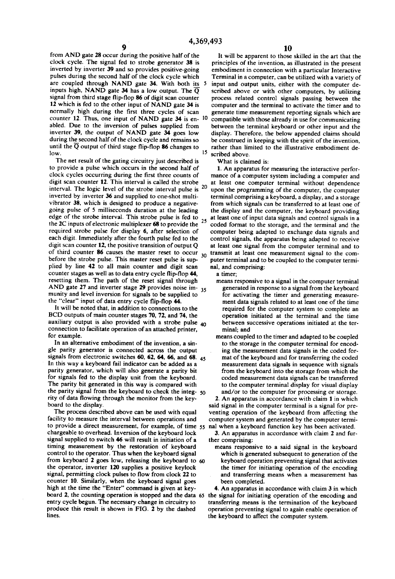from AND gate 28 occur during the positive half of the clock cycle. The signal fed to strobe generator 38 is inverted by inverter 39 and so provides positive-going pulses during the second half of the clock cycle which are coupled through NAND gate  $34$ . With both its  $5$ inputs high, NAND gate 34 has a low output. The  $\overline{Q}$  signal from third stage flip-flop 86 of digit scan counter 12 which is fed to the other input of NAND gate 34 is normally high during the first three cycles of scan counter 12. Thus, one input of NAND gate  $34$  is en-  $10$ abled. Due to the inversion of pulses supplied from inverter 39, the output of NAND gate 34 goes low<br>during the second half of the clock cycle and remains so until the  $\overline{Q}$  output of third stage flip-flop 86 changes to low. 5

The net result of the gating circuitry just described is to provide a pulse which occurs in the second half of clock cycles occurring during the first three counts of digit scan counter 12. This interval is called the strobe digit scan counter 12. This interval is called the strobe interval. The logic level of the strobe interval pulse is  $20$ inverted by inverter 36 and supplied to one-shot multivibrator 38, which is designed to produce a negativegoing pulse of 5 milliseconds duration at the leading edge of the strobe interval. This strobe pulse is fed to the 2C inputs of electronic multiplexer 68 to provide the  $25$ required strobe pulse for display 6, after selection of each digit. Immediately after the fourth pulse fed to the digit scan counter 12, the positive transition of output Q of third counter 86 causes the master reset to occur 30<br>hofers the starks gular This master goat with is view. before the strobe pulse. This master reset pulse is supplied by line 42 to all main counter and digit scan counter stages as well as to data entry cycle flip-flop 44. resetting them. The path of the reset signal through AND gate 27 and inverter stage 29 provides noise  $\text{im}$ -  $\frac{35}{25}$ munity and level inversion for signals to be supplied to the "clear" input of data entry cycle flip-flop 44.

It will be noted that, in addition to connections to the BCD outputs of main counter stages 70, 72, and 74, the auxiliary output is also provided with a strobe pulse  $_{40}$ connection to facilitate operation of an attached printer, for example.

In an alternative embodiment of the invention, a sin gle parity generator is connected across the output signals from electronic switches  $\sigma v$ ,  $\sigma z$ ,  $\sigma \sigma$ ,  $\sigma \sigma$ , and  $\sigma \sigma$ .  $45$ In this way a keyboard fail indicator can be added as a parity generator, which will also generate a parity bit for signals fed to the display unit from the keyboard. The parity bit generated in this way is compared with rity of data flowing through the monitor from the key-<br>board to the display.<br>The process described above can be used with equal the parity signal from the keyboard to check the integ- 50

facility to measure the interval between operations and to provide a direct measurement, for example, of time 55 chargeable to overhead. Inversion of the keyboard lock signal supplied to switch 46 will result in initiation of a timing measurement by the restoration of keyboard control to the operator. Thus when the keyboard signal from keyboard 2 goes low, releasing the keyboard to  $60$  the operator, inverter 120 supplies a positive keylock signal, permitting clock pulses to flow from clock 22 to counter 10. Similarly, when the keyboard signal goes counter 10. Similarly, when the keyboard signal goes been completed.<br>high at the time the "Enter" command is given at key-<br>board 2, the counting operation is stopped and the data 65 the signal for initiating operation of t entry cycle begun. The necessary change in circuitry to produce this result is shown in FIG. 2 by the dashed lines.

It will be apparent to those skilled in the art that the principles of the invention, as illustrated in the present embodiment in connection with a particular Interactive Terminal in a computer, can be utilized with a variety of input and output units, either with the computer de scribed above or with other computers, by utilizing process related control signals passing between the computer and the terminal to activate the timer and to generate time measurement reporting signals which are compatible with those already in use for communicating between the terminal keyboard or other input and the display. Therefore, the below appended claims should be construed in keeping with the spirit of the invention, rather than limited to the illustrative embodiment de scribed above.

What is claimed is:

1. An apparatus for measuring the interactive perfor mance of a computer system including a computer and at least one computer terminal without dependence upon the programming of the computer, the computer terminal comprising a keyboard, a display, and a storage from which signals can be transferred to at least one of the display and the computer, the keyboard providing at least one of input data signals and control signals in a coded format to the storage, and the terminal and the computer being adapted to exchange data signals and control signals, the apparatus being adapted to receive at least one signal from the computer terminal and to transmit at least one measurement signal to the com puter terminal and to be coupled to the computer termi nal, and comprising:

a timer;

- means responsive to a signal in the computer terminal generated in response to a signal from the keyboard for activating the timer and generating measure ment data signals related to at least one of the time required for the computer system to complete an operation initiated at the terminal and the time between successive operations initiated at the ter minal; and
- means coupled to the timer and adapted to be coupled to the storage in the computer terminal for encod ing the measurement data signals in the coded for mat of the keyboard and for transferring the coded measurement data signals in sequence with signals from the keyboard into the storage from which the coded measurement data signals can be transferred<br>to the computer terminal display for visual display and/or to the computer for processing or storage.

2. An apparatus in accordance with claim 1 in which said signal in the computer terminal is a signal for preventing operation of the keyboard from affecting the computer system and generated by the computer termi nal when a keyboard function key has been activated.

3. An apparatus in accordance with claim 2 and fur

ther comprising:<br>means responsive to a said signal in the keyboard which is generated subsequent to generation of the keyboard operation preventing signal that activates the timer for initiating operation of the encoding and transferring means when a measurement has been completed.

4. An apparatus in accordance with claim 3 in which transferring means is the termination of the keyboard operation preventing signal to again enable operation of the keyboard to affect the computer system.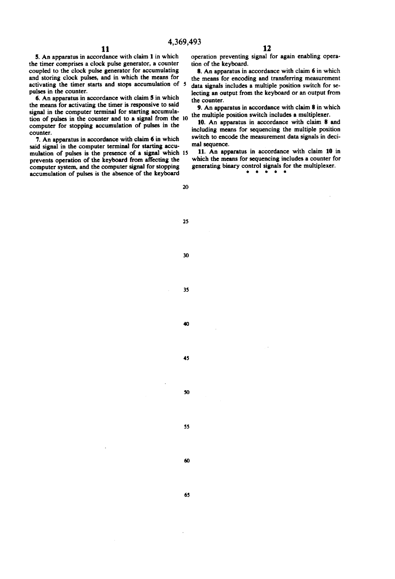5. An apparatus in accordance with claim 1 in which the timer comprises a clock pulse generator, a counter coupled to the clock pulse generator for accumulating and storing clock pulses, and in which the means for activating the timer starts and stops accumulation of 5 pulses in the counter.

6. An apparatus in accordance with claim 5 in which the means for activating the timer is responsive to said signal in the computer terminal for starting accumulation of pulses in the counter and to a signal from the 10 computer for stopping accumulation of pulses in the counter.

7. An apparatus in accordance with claim 6 in which said signal in the computer terminal for starting accumulation of pulses is the presence of a signal which 15 prevents operation of the keyboard from affecting the computer system, and the computer signal for stopping accumulation of pulses is the absence of the keyboard

operation preventing signal for again enabling operation of the keyboard.

8. An apparatus in accordance with claim 6 in which the means for encoding and transferring measurement data signals includes a multiple position switch for selecting an output from the keyboard or an output from the counter.

9. An apparatus in accordance with claim 8 in which the multiple position switch includes a multiplexer.

10. An apparatus in accordance with claim 8 and including means for sequencing the multiple position switch to encode the measurement data signals in decimal sequence.

11. An apparatus in accordance with claim 10 in which the means for sequencing includes a counter for generating binary control signals for the multiplexer.

 $\rightarrow$ 

 $\bullet$  $\bullet$   $\bullet$ 

20

25

30

35

40

45

50

55

60

65